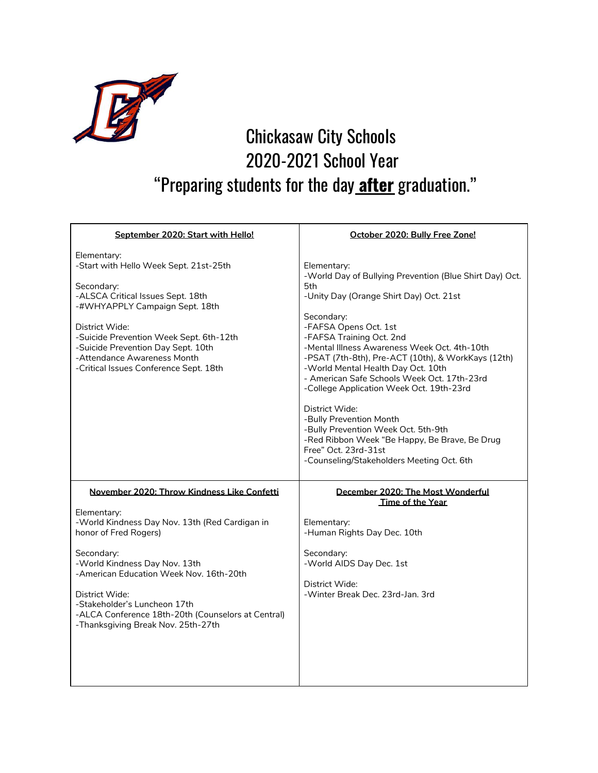

## Chickasaw City Schools 2020-2021 School Year "Preparing students for the day **after** graduation."

| September 2020: Start with Hello!                                                                                                                                                                                                                                                                                                                                             | October 2020: Bully Free Zone!                                                                                                                                                                                                                                                                                                                                                                                                                                                                                                                                                                                                               |
|-------------------------------------------------------------------------------------------------------------------------------------------------------------------------------------------------------------------------------------------------------------------------------------------------------------------------------------------------------------------------------|----------------------------------------------------------------------------------------------------------------------------------------------------------------------------------------------------------------------------------------------------------------------------------------------------------------------------------------------------------------------------------------------------------------------------------------------------------------------------------------------------------------------------------------------------------------------------------------------------------------------------------------------|
| Elementary:<br>-Start with Hello Week Sept. 21st-25th<br>Secondary:<br>-ALSCA Critical Issues Sept. 18th<br>-#WHYAPPLY Campaign Sept. 18th<br>District Wide:<br>-Suicide Prevention Week Sept. 6th-12th<br>-Suicide Prevention Day Sept. 10th<br>-Attendance Awareness Month<br>-Critical Issues Conference Sept. 18th                                                        | Elementary:<br>-World Day of Bullying Prevention (Blue Shirt Day) Oct.<br>5th<br>-Unity Day (Orange Shirt Day) Oct. 21st<br>Secondary:<br>-FAFSA Opens Oct. 1st<br>-FAFSA Training Oct. 2nd<br>-Mental Illness Awareness Week Oct. 4th-10th<br>-PSAT (7th-8th), Pre-ACT (10th), & WorkKays (12th)<br>-World Mental Health Day Oct. 10th<br>- American Safe Schools Week Oct. 17th-23rd<br>-College Application Week Oct. 19th-23rd<br>District Wide:<br>-Bully Prevention Month<br>-Bully Prevention Week Oct. 5th-9th<br>-Red Ribbon Week "Be Happy, Be Brave, Be Drug<br>Free" Oct. 23rd-31st<br>-Counseling/Stakeholders Meeting Oct. 6th |
| November 2020: Throw Kindness Like Confetti<br>Elementary:<br>-World Kindness Day Nov. 13th (Red Cardigan in<br>honor of Fred Rogers)<br>Secondary:<br>-World Kindness Day Nov. 13th<br>-American Education Week Nov. 16th-20th<br>District Wide:<br>-Stakeholder's Luncheon 17th<br>-ALCA Conference 18th-20th (Counselors at Central)<br>-Thanksgiving Break Nov. 25th-27th | December 2020: The Most Wonderful<br>Time of the Year<br>Elementary:<br>-Human Rights Day Dec. 10th<br>Secondary:<br>-World AIDS Day Dec. 1st<br>District Wide:<br>-Winter Break Dec. 23rd-Jan. 3rd                                                                                                                                                                                                                                                                                                                                                                                                                                          |